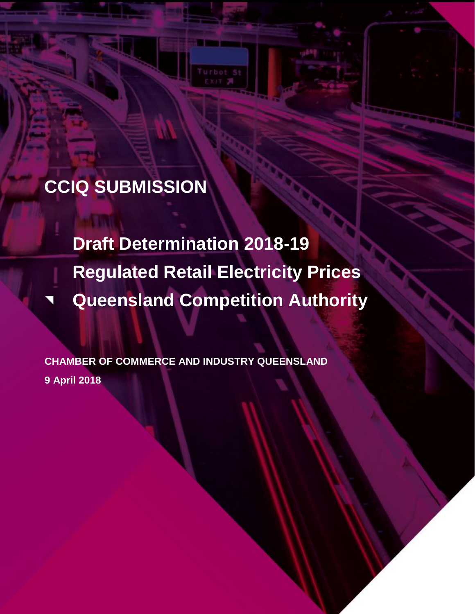# **CCIQ SUBMISSION**

**Draft Determination 2018-19 Regulated Retail Electricity Prices Queensland Competition Authority**

--

**CHAMBER OF COMMERCE AND INDUSTRY QUEENSLAND 9 April 2018**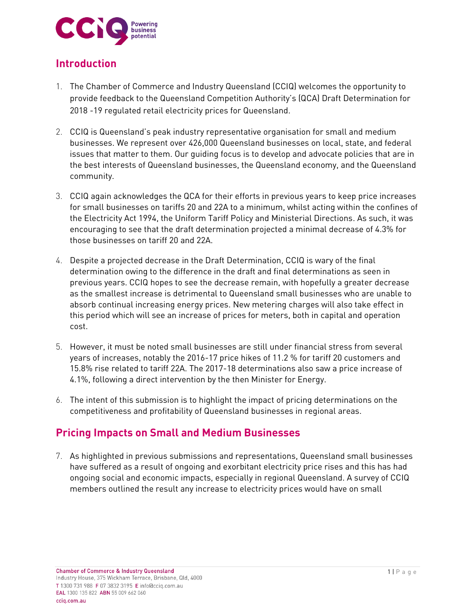

## **Introduction**

- 1. The Chamber of Commerce and Industry Queensland (CCIQ) welcomes the opportunity to provide feedback to the Queensland Competition Authority's (QCA) Draft Determination for 2018 -19 regulated retail electricity prices for Queensland.
- 2. CCIQ is Queensland's peak industry representative organisation for small and medium businesses. We represent over 426,000 Queensland businesses on local, state, and federal issues that matter to them. Our guiding focus is to develop and advocate policies that are in the best interests of Queensland businesses, the Queensland economy, and the Queensland community.
- 3. CCIQ again acknowledges the QCA for their efforts in previous years to keep price increases for small businesses on tariffs 20 and 22A to a minimum, whilst acting within the confines of the Electricity Act 1994, the Uniform Tariff Policy and Ministerial Directions. As such, it was encouraging to see that the draft determination projected a minimal decrease of 4.3% for those businesses on tariff 20 and 22A.
- 4. Despite a projected decrease in the Draft Determination, CCIQ is wary of the final determination owing to the difference in the draft and final determinations as seen in previous years. CCIQ hopes to see the decrease remain, with hopefully a greater decrease as the smallest increase is detrimental to Queensland small businesses who are unable to absorb continual increasing energy prices. New metering charges will also take effect in this period which will see an increase of prices for meters, both in capital and operation cost.
- 5. However, it must be noted small businesses are still under financial stress from several years of increases, notably the 2016-17 price hikes of 11.2 % for tariff 20 customers and 15.8% rise related to tariff 22A. The 2017-18 determinations also saw a price increase of 4.1%, following a direct intervention by the then Minister for Energy.
- 6. The intent of this submission is to highlight the impact of pricing determinations on the competitiveness and profitability of Queensland businesses in regional areas.

## **Pricing Impacts on Small and Medium Businesses**

7. As highlighted in previous submissions and representations, Queensland small businesses have suffered as a result of ongoing and exorbitant electricity price rises and this has had ongoing social and economic impacts, especially in regional Queensland. A survey of CCIQ members outlined the result any increase to electricity prices would have on small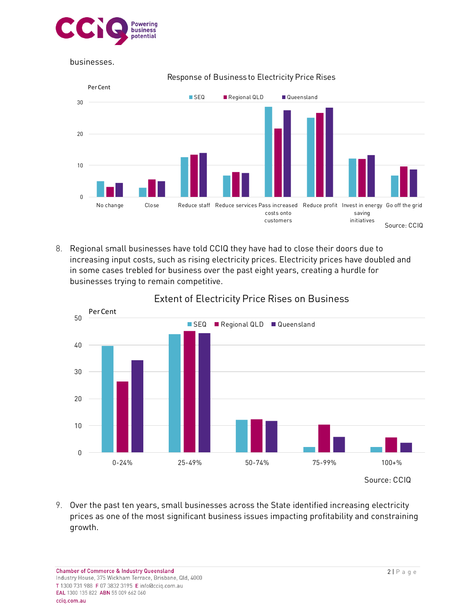

businesses.



Response of Business to Electricity Price Rises

8. Regional small businesses have told CCIQ they have had to close their doors due to increasing input costs, such as rising electricity prices. Electricity prices have doubled and in some cases trebled for business over the past eight years, creating a hurdle for businesses trying to remain competitive.



# Extent of Electricity Price Rises on Business

9. Over the past ten years, small businesses across the State identified increasing electricity prices as one of the most significant business issues impacting profitability and constraining growth.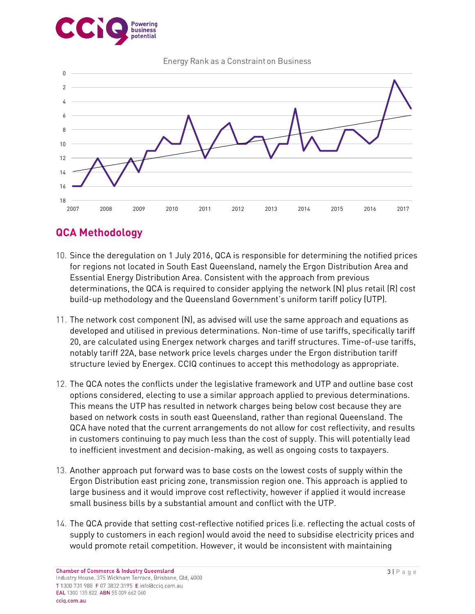





# **QCA Methodology**

- 10. Since the deregulation on 1 July 2016, QCA is responsible for determining the notified prices for regions not located in South East Queensland, namely the Ergon Distribution Area and Essential Energy Distribution Area. Consistent with the approach from previous determinations, the QCA is required to consider applying the network (N) plus retail (R) cost build-up methodology and the Queensland Government's uniform tariff policy (UTP).
- 11. The network cost component (N), as advised will use the same approach and equations as developed and utilised in previous determinations. Non-time of use tariffs, specifically tariff 20, are calculated using Energex network charges and tariff structures. Time-of-use tariffs, notably tariff 22A, base network price levels charges under the Ergon distribution tariff structure levied by Energex. CCIQ continues to accept this methodology as appropriate.
- 12. The QCA notes the conflicts under the legislative framework and UTP and outline base cost options considered, electing to use a similar approach applied to previous determinations. This means the UTP has resulted in network charges being below cost because they are based on network costs in south east Queensland, rather than regional Queensland. The QCA have noted that the current arrangements do not allow for cost reflectivity, and results in customers continuing to pay much less than the cost of supply. This will potentially lead to inefficient investment and decision-making, as well as ongoing costs to taxpayers.
- 13. Another approach put forward was to base costs on the lowest costs of supply within the Ergon Distribution east pricing zone, transmission region one. This approach is applied to large business and it would improve cost reflectivity, however if applied it would increase small business bills by a substantial amount and conflict with the UTP.
- 14. The QCA provide that setting cost-reflective notified prices (i.e. reflecting the actual costs of supply to customers in each region) would avoid the need to subsidise electricity prices and would promote retail competition. However, it would be inconsistent with maintaining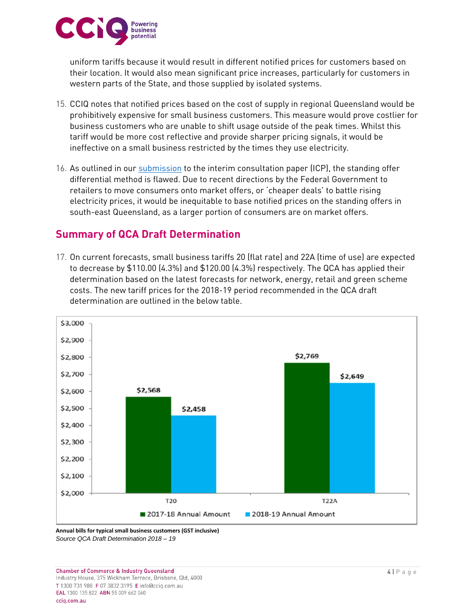

uniform tariffs because it would result in different notified prices for customers based on their location. It would also mean significant price increases, particularly for customers in western parts of the State, and those supplied by isolated systems.

- 15. CCIQ notes that notified prices based on the cost of supply in regional Queensland would be prohibitively expensive for small business customers. This measure would prove costlier for business customers who are unable to shift usage outside of the peak times. Whilst this tariff would be more cost reflective and provide sharper pricing signals, it would be ineffective on a small business restricted by the times they use electricity.
- 16. As outlined in our [submission](https://www.cciq.com.au/assets/Advocacy/Submissions/2018/QCA-ICP-Submission-18-19-180102-.pdf) to the interim consultation paper (ICP), the standing offer differential method is flawed. Due to recent directions by the Federal Government to retailers to move consumers onto market offers, or 'cheaper deals' to battle rising electricity prices, it would be inequitable to base notified prices on the standing offers in south-east Queensland, as a larger portion of consumers are on market offers.

## **Summary of QCA Draft Determination**

17. On current forecasts, small business tariffs 20 (flat rate) and 22A (time of use) are expected to decrease by \$110.00 (4.3%) and \$120.00 (4.3%) respectively. The QCA has applied their determination based on the latest forecasts for network, energy, retail and green scheme costs. The new tariff prices for the 2018-19 period recommended in the QCA draft determination are outlined in the below table.



**Annual bills for typical small business customers (GST inclusive)** *Source QCA Draft Determination 2018 – 19*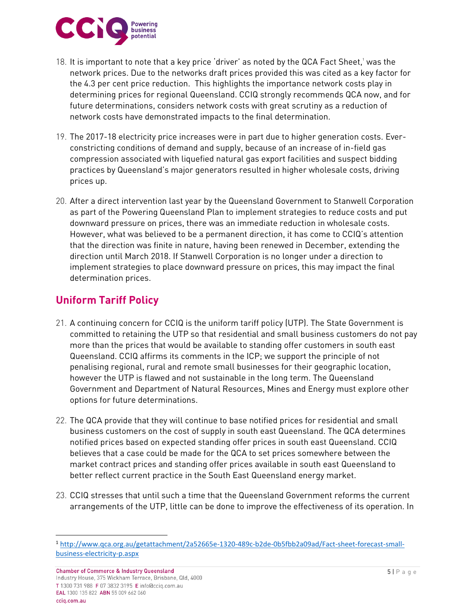

- 18. It is important to note that a key price 'driver' as noted by the QCA Fact Sheet, <sup>1</sup> was the network prices. Due to the networks draft prices provided this was cited as a key factor for the 4.3 per cent price reduction. This highlights the importance network costs play in determining prices for regional Queensland. CCIQ strongly recommends QCA now, and for future determinations, considers network costs with great scrutiny as a reduction of network costs have demonstrated impacts to the final determination.
- 19. The 2017-18 electricity price increases were in part due to higher generation costs. Everconstricting conditions of demand and supply, because of an increase of in-field gas compression associated with liquefied natural gas export facilities and suspect bidding practices by Queensland's major generators resulted in higher wholesale costs, driving prices up.
- 20. After a direct intervention last year by the Queensland Government to Stanwell Corporation as part of the Powering Queensland Plan to implement strategies to reduce costs and put downward pressure on prices, there was an immediate reduction in wholesale costs. However, what was believed to be a permanent direction, it has come to CCIQ's attention that the direction was finite in nature, having been renewed in December, extending the direction until March 2018. If Stanwell Corporation is no longer under a direction to implement strategies to place downward pressure on prices, this may impact the final determination prices.

# **Uniform Tariff Policy**

- 21. A continuing concern for CCIQ is the uniform tariff policy (UTP). The State Government is committed to retaining the UTP so that residential and small business customers do not pay more than the prices that would be available to standing offer customers in south east Queensland. CCIQ affirms its comments in the ICP; we support the principle of not penalising regional, rural and remote small businesses for their geographic location, however the UTP is flawed and not sustainable in the long term. The Queensland Government and Department of Natural Resources, Mines and Energy must explore other options for future determinations.
- 22. The QCA provide that they will continue to base notified prices for residential and small business customers on the cost of supply in south east Queensland. The QCA determines notified prices based on expected standing offer prices in south east Queensland. CCIQ believes that a case could be made for the QCA to set prices somewhere between the market contract prices and standing offer prices available in south east Queensland to better reflect current practice in the South East Queensland energy market.
- 23. CCIQ stresses that until such a time that the Queensland Government reforms the current arrangements of the UTP, little can be done to improve the effectiveness of its operation. In

 $\overline{\phantom{a}}$ 

<sup>1</sup> [http://www.qca.org.au/getattachment/2a52665e-1320-489c-b2de-0b5fbb2a09ad/Fact-sheet-forecast-small](http://www.qca.org.au/getattachment/2a52665e-1320-489c-b2de-0b5fbb2a09ad/Fact-sheet-forecast-small-business-electricity-p.aspx)[business-electricity-p.aspx](http://www.qca.org.au/getattachment/2a52665e-1320-489c-b2de-0b5fbb2a09ad/Fact-sheet-forecast-small-business-electricity-p.aspx)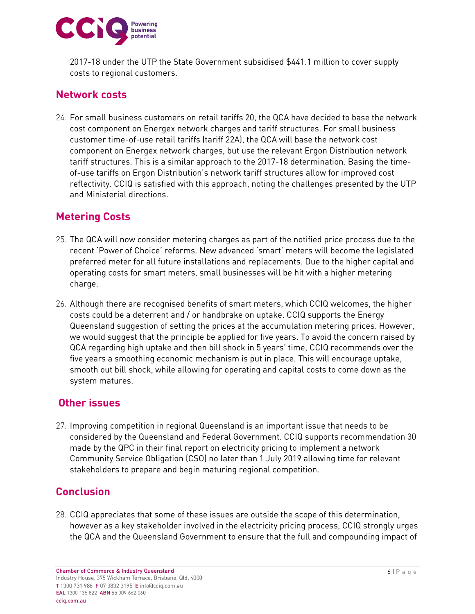

2017-18 under the UTP the State Government subsidised \$441.1 million to cover supply costs to regional customers.

## **Network costs**

24. For small business customers on retail tariffs 20, the QCA have decided to base the network cost component on Energex network charges and tariff structures. For small business customer time-of-use retail tariffs (tariff 22A), the QCA will base the network cost component on Energex network charges, but use the relevant Ergon Distribution network tariff structures. This is a similar approach to the 2017-18 determination. Basing the timeof-use tariffs on Ergon Distribution's network tariff structures allow for improved cost reflectivity. CCIQ is satisfied with this approach, noting the challenges presented by the UTP and Ministerial directions.

## **Metering Costs**

- 25. The QCA will now consider metering charges as part of the notified price process due to the recent 'Power of Choice' reforms. New advanced 'smart' meters will become the legislated preferred meter for all future installations and replacements. Due to the higher capital and operating costs for smart meters, small businesses will be hit with a higher metering charge.
- 26. Although there are recognised benefits of smart meters, which CCIQ welcomes, the higher costs could be a deterrent and / or handbrake on uptake. CCIQ supports the Energy Queensland suggestion of setting the prices at the accumulation metering prices. However, we would suggest that the principle be applied for five years. To avoid the concern raised by QCA regarding high uptake and then bill shock in 5 years' time, CCIQ recommends over the five years a smoothing economic mechanism is put in place. This will encourage uptake, smooth out bill shock, while allowing for operating and capital costs to come down as the system matures.

#### **Other issues**

27. Improving competition in regional Queensland is an important issue that needs to be considered by the Queensland and Federal Government. CCIQ supports recommendation 30 made by the QPC in their final report on electricity pricing to implement a network Community Service Obligation (CSO) no later than 1 July 2019 allowing time for relevant stakeholders to prepare and begin maturing regional competition.

## **Conclusion**

28. CCIQ appreciates that some of these issues are outside the scope of this determination, however as a key stakeholder involved in the electricity pricing process, CCIQ strongly urges the QCA and the Queensland Government to ensure that the full and compounding impact of